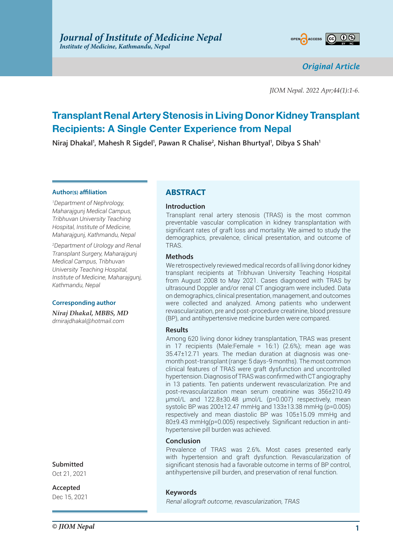

*Original Article*

*JIOM Nepal. 2022 Apr;44(1):1-6.*

# **Transplant Renal Artery Stenosis in Living Donor Kidney Transplant Recipients: A Single Center Experience from Nepal**

 $N$ iraj Dhakal<sup>1</sup>, Mahesh R Sigdel<sup>1</sup>, Pawan R Chalise<sup>2</sup>, Nishan Bhurtyal<sup>1</sup>, Dibya S Shah<sup>1</sup>

#### **Author(s) affiliation**

*1 Department of Nephrology, Maharajgunj Medical Campus, Tribhuvan University Teaching Hospital, Institute of Medicine, Maharajgunj, Kathmandu, Nepal*

*2 Department of Urology and Renal Transplant Surgery, Maharajgunj Medical Campus, Tribhuvan University Teaching Hospital, Institute of Medicine, Maharajgunj, Kathmandu, Nepal*

#### **Corresponding author**

*Niraj Dhakal, MBBS, MD drnirajdhakal@hotmail.com*

# **Submitted**

Oct 21, 2021

**Accepted** Dec 15, 2021

# **ABSTRACT**

## **Introduction**

Transplant renal artery stenosis (TRAS) is the most common preventable vascular complication in kidney transplantation with significant rates of graft loss and mortality. We aimed to study the demographics, prevalence, clinical presentation, and outcome of TRAS.

## **Methods**

We retrospectively reviewed medical records of all living donor kidney transplant recipients at Tribhuvan University Teaching Hospital from August 2008 to May 2021. Cases diagnosed with TRAS by ultrasound Doppler and/or renal CT angiogram were included. Data on demographics, clinical presentation, management, and outcomes were collected and analyzed. Among patients who underwent revascularization, pre and post-procedure creatinine, blood pressure (BP), and antihypertensive medicine burden were compared.

#### **Results**

Among 620 living donor kidney transplantation, TRAS was present in 17 recipients (Male:Female = 16:1) (2.6%); mean age was 35.47±12.71 years. The median duration at diagnosis was onemonth post-transplant (range: 5 days-9 months). The most common clinical features of TRAS were graft dysfunction and uncontrolled hypertension. Diagnosis of TRAS was confirmed with CT angiography in 13 patients. Ten patients underwent revascularization. Pre and post-revascularization mean serum creatinine was 356±210.49 µmol/L and 122.8±30.48 µmol/L (p=0.007) respectively, mean systolic BP was 200±12.47 mmHg and 133±13.38 mmHg (p=0.005) respectively and mean diastolic BP was 105±15.09 mmHg and 80±9.43 mmHg(p=0.005) respectively. Significant reduction in antihypertensive pill burden was achieved.

#### **Conclusion**

Prevalence of TRAS was 2.6%. Most cases presented early with hypertension and graft dysfunction. Revascularization of significant stenosis had a favorable outcome in terms of BP control, antihypertensive pill burden, and preservation of renal function.

## **Keywords**

*Renal allograft outcome, revascularization, TRAS*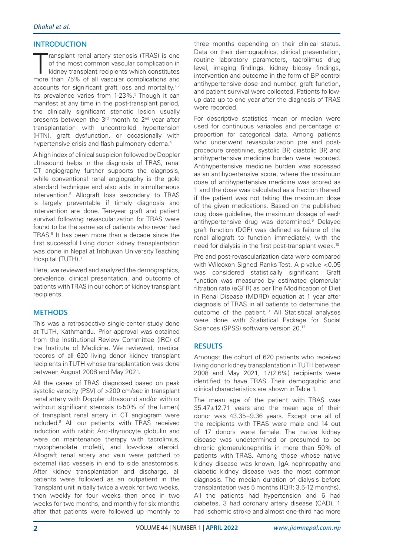# **INTRODUCTION**

ransplant renal artery stenosis (TRAS) is one<br>of the most common vascular complication in<br>kidney transplant recipients which constitutes<br>more than 75% of all vascular complications and ransplant renal artery stenosis (TRAS) is one of the most common vascular complication in kidney transplant recipients which constitutes accounts for significant graft loss and mortality.<sup>1,2</sup> Its prevalence varies from 1-23%.<sup>3</sup> Though it can manifest at any time in the post-transplant period, the clinically significant stenotic lesion usually presents between the 3rd month to 2nd year after transplantation with uncontrolled hypertension (HTN), graft dysfunction, or occasionally with hypertensive crisis and flash pulmonary edema.<sup>4</sup>

A high index of clinical suspicion followed by Doppler ultrasound helps in the diagnosis of TRAS, renal CT angiography further supports the diagnosis, while conventional renal angiography is the gold standard technique and also aids in simultaneous intervention.5 Allograft loss secondary to TRAS is largely preventable if timely diagnosis and intervention are done. Ten-year graft and patient survival following revascularization for TRAS were found to be the same as of patients who never had TRAS.6 It has been more than a decade since the first successful living donor kidney transplantation was done in Nepal at Tribhuvan University Teaching Hospital (TUTH).7

Here, we reviewed and analyzed the demographics, prevalence, clinical presentation, and outcome of patients with TRAS in our cohort of kidney transplant recipients.

# **METHODS**

This was a retrospective single-center study done at TUTH, Kathmandu. Prior approval was obtained from the Institutional Review Committee (IRC) of the Institute of Medicine. We reviewed, medical records of all 620 living donor kidney transplant recipients in TUTH whose transplantation was done between August 2008 and May 2021.

All the cases of TRAS diagnosed based on peak systolic velocity (PSV) of >200 cm/sec in transplant renal artery with Doppler ultrasound and/or with or without significant stenosis (>50% of the lumen) of transplant renal artery in CT angiogram were included.8 All our patients with TRAS received induction with rabbit Anti-thymocyte globulin and were on maintenance therapy with tacrolimus, mycophenolate mofetil, and low-dose steroid. Allograft renal artery and vein were patched to external iliac vessels in end to side anastomosis. After kidney transplantation and discharge, all patients were followed as an outpatient in the Transplant unit initially twice a week for two weeks, then weekly for four weeks then once in two weeks for two months, and monthly for six months after that patients were followed up monthly to

three months depending on their clinical status. Data on their demographics, clinical presentation, routine laboratory parameters, tacrolimus drug level, imaging findings, kidney biopsy findings, intervention and outcome in the form of BP control antihypertensive dose and number, graft function, and patient survival were collected. Patients followup data up to one year after the diagnosis of TRAS were recorded.

For descriptive statistics mean or median were used for continuous variables and percentage or proportion for categorical data. Among patients who underwent revascularization pre and postprocedure creatinine, systolic BP, diastolic BP, and antihypertensive medicine burden were recorded. Antihypertensive medicine burden was accessed as an antihypertensive score, where the maximum dose of antihypertensive medicine was scored as 1 and the dose was calculated as a fraction thereof if the patient was not taking the maximum dose of the given medications. Based on the published drug dose guideline, the maximum dosage of each antihypertensive drug was determined.<sup>9</sup> Delayed graft function (DGF) was defined as failure of the renal allograft to function immediately, with the need for dialysis in the first post-transplant week.10

Pre and post-revascularization data were compared with Wilcoxon Signed Ranks Test. A p-value <0.05 was considered statistically significant. Graft function was measured by estimated glomerular filtration rate (eGFR) as per The Modification of Diet in Renal Disease (MDRD) equation at 1 year after diagnosis of TRAS in all patients to determine the outcome of the patient.<sup>11</sup> All Statistical analyses were done with Statistical Package for Social Sciences (SPSS) software version 20.12

# **RESULTS**

Amongst the cohort of 620 patients who received living donor kidney transplantation in TUTH between 2008 and May 2021, 17(2.6%) recipients were identified to have TRAS. Their demographic and clinical characteristics are shown in Table 1.

The mean age of the patient with TRAS was 35.47±12.71 years and the mean age of their donor was 43.35±9.36 years. Except one all of the recipients with TRAS were male and 14 out of 17 donors were female. The native kidney disease was undetermined or presumed to be chronic glomerulonephritis in more than 50% of patients with TRAS. Among those whose native kidney disease was known, IgA nephropathy and diabetic kidney disease was the most common diagnosis. The median duration of dialysis before transplantation was 5 months (IQR: 3.5-12 months). All the patients had hypertension and 6 had diabetes, 3 had coronary artery disease (CAD), 1 had ischemic stroke and almost one-third had more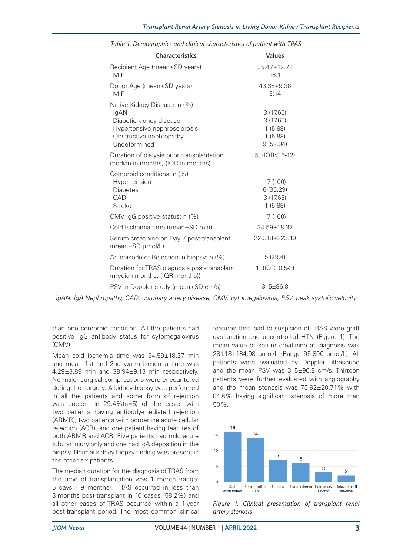| <b>Characteristics</b>                                                                                                                     | Values                                                 |
|--------------------------------------------------------------------------------------------------------------------------------------------|--------------------------------------------------------|
| Recipient Age (mean±SD years)<br>M: F                                                                                                      | $35.47 \pm 12.71$<br>16:1                              |
| Donor Age (mean±SD years)<br>M: F                                                                                                          | $43.35 \pm 9.36$<br>3:14                               |
| Native Kidney Disease: n (%)<br>IgAN<br>Diabetic kidney disease<br>Hypertensive nephrosclerosis<br>Obstructive nephropathy<br>Undetermined | 3(17.65)<br>3(17.65)<br>1(5.88)<br>1(5.88)<br>9(52.94) |
| Duration of dialysis prior transplantation<br>median in months, (IQR in months)                                                            | 5, (IQR:3.5-12)                                        |
| Comorbid conditions: n (%)<br>Hypertension<br><b>Diabetes</b><br>CAD<br>Stroke                                                             | 17 (100)<br>6 (35.29)<br>3(17.65)<br>1(5.88)           |
| CMV IgG positive status: n (%)                                                                                                             | 17 (100)                                               |
| Cold Ischemia time (mean±SD min)                                                                                                           | $34.59 \pm 18.37$                                      |
| Serum creatinine on Day 7 post-transplant<br>$(mean \pm SD \mu mol/L)$                                                                     | 220.18±223.10                                          |
| An episode of Rejection in biopsy: n (%)                                                                                                   | 5(29.4)                                                |
| Duration for TRAS diagnosis post-transplant<br>(median months, (IQR months))                                                               | 1, (IQR: 0.5-3)                                        |
| PSV in Doppler study (mean±SD cm/s)                                                                                                        | $315 \pm 96.8$                                         |

*Table 1. Demographics and clinical characteristics of patient with TRAS*

*IgAN: IgA Nephropathy, CAD: coronary artery disease, CMV: cytomegalovirus, PSV: peak systolic velocity*

than one comorbid condition. All the patients had positive IgG antibody status for cytomegalovirus (CMV).

Mean cold ischemia time was 34.59±18.37 min and mean 1st and 2nd warm ischemia time was 4.29±3.89 min and 38.94±9.13 min respectively. No major surgical complications were encountered during the surgery. A kidney biopsy was performed in all the patients and some form of rejection was present in 29.4%(n=5) of the cases with two patients having antibody-mediated rejection (ABMR), two patients with borderline acute cellular rejection (ACR), and one patient having features of both ABMR and ACR. Five patients had mild acute tubular injury only and one had IgA deposition in the biopsy. Normal kidney biopsy finding was present in the other six patients.

The median duration for the diagnosis of TRAS from the time of transplantation was 1 month (range: 5 days - 9 months). TRAS occurred in less than 3-months post-transplant in 10 cases (58.2%) and all other cases of TRAS occurred within a 1-year post-transplant period. The most common clinical

features that lead to suspicion of TRAS were graft dysfunction and uncontrolled HTN (Figure 1). The mean value of serum creatinine at diagnosis was 281.18±184.98 µmol/L (Range 95-800 µmol/L). All patients were evaluated by Doppler ultrasound and the mean PSV was 315±96.8 cm/s. Thirteen patients were further evaluated with angiography and the mean stenosis was 75.92±20.71% with 84.6% having significant stenosis of more than 50%.



*Figure 1. Clinical presentation of transplant renal artery stenosis*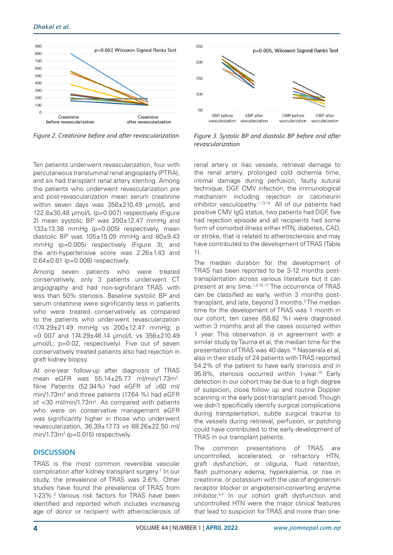

Ten patients underwent revascularization, four with percutaneous transluminal renal angioplasty (PTRA), and six had transplant renal artery stenting. Among the patients who underwent revascularization pre and post-revascularization mean serum creatinine within seven days was 356±210.49 µmol/L and 122.8±30.48 µmol/L (p=0.007) respectively (Figure 2) mean systolic BP was 200±12.47 mmHg and 133±13.38 mmHg (p=0.005) respectively, mean diastolic BP was  $105±15.09$  mmHg and  $80±9.43$ mmHg (p=0.005) respectively (Figure 3), and the anti-hypertensive score was 2.26±1.43 and 0.64±0.61 (p=0.008) respectively.

Among seven patients who were treated conservatively, only 3 patients underwent CT angiography and had non-significant TRAS with less than 50% stenosis. Baseline systolic BP and serum creatinine were significantly less in patients who were treated conservatively as compared to the patients who underwent revascularization (174.29±21.49 mmHg vs 200±12.47 mmHg; p  $=0$  007 and 174.29 $\pm$ 46.14 µmol/L vs 356 $\pm$ 210.49 µmol/L; p=0.02, respectively). Five out of seven conservatively treated patients also had rejection in graft kidney biopsy.

At one-year follow-up after diagnosis of TRAS mean eGFR was 55.14±25.77 ml/min/1.73m2 . Nine Patients (52.94%) had eGFR of ≥60 ml/ min/1.73m<sup>2</sup> and three patients (17.64 %) had eGFR of <30 ml/min/1.73m<sup>2</sup>. As compared with patients who were on conservative management eGFR was significantly higher in those who underwent revascularization, 36.39±17.73 vs 68.26±22.50 ml/ min/1.73m<sup>2</sup> (p=0.015) respectively.

# **DISCUSSION**

TRAS is the most common reversible vascular complication after kidney transplant surgery.1 In our study, the prevalence of TRAS was 2.6%. Other studies have found the prevalence of TRAS from 1-23%.3 Various risk factors for TRAS have been identified and reported which includes increasing age of donor or recipient with atherosclerosis of



*Figure 2. Creatinine before and after revascularization Figure 3. Systolic BP and diastolic BP before and after revascularization*

renal artery or iliac vessels, retrieval damage to the renal artery, prolonged cold ischemia time, intimal damage during perfusion, faulty sutural technique, DGF, CMV infection, the immunological mechanism including rejection or calcineurin inhibitor vasculopathy.1,13,14 All of our patients had positive CMV IgG status, two patients had DGF, five had rejection episode and all recipients had some form of comorbid illness either HTN, diabetes, CAD, or stroke, that is related to atherosclerosis and may have contributed to the development of TRAS (Table 1).

The median duration for the development of TRAS has been reported to be 3-12 months posttransplantation across various literature but it can present at any time.1,3,15–17 The occurrence of TRAS can be classified as early, within 3 months posttransplant, and late, beyond 3 months.<sup>3</sup> The median time for the development of TRAS was 1 month in our cohort, ten cases (58.82 %) were diagnosed within 3 months and all the cases occurred within 1 year. This observation is in agreement with a similar study by Tauma et al, the median time for the presentation of TRAS was 40 days.18 Nasserala et al, also in their study of 24 patients with TRAS reported 54.2% of the patient to have early stenosis and in 95.8%, stenosis occurred within 1-year.<sup>15</sup> Early detection in our cohort may be due to a high degree of suspicion, close follow up and routine Doppler scanning in the early post-transplant period. Though we didn't specifically identify surgical complications during transplantation, subtle surgical trauma to the vessels during retrieval, perfusion, or patching could have contributed to the early development of TRAS in our transplant patients.

The common presentations of TRAS are uncontrolled, accelerated, or refractory HTN, graft dysfunction, or oliguria, fluid retention, flash pulmonary edema, hyperkalemia, or rise in creatinine, or potassium with the use of angiotensin receptor blocker or angiotensin-converting enzyme inhibitor.3,4 In our cohort graft dysfunction and uncontrolled HTN were the major clinical features that lead to suspicion for TRAS and more than one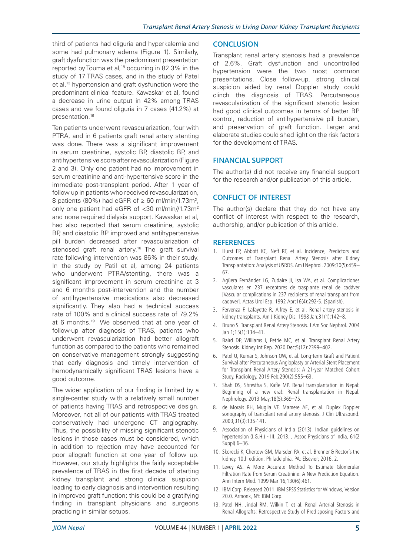third of patients had oliguria and hyperkalemia and some had pulmonary edema (Figure 1). Similarly, graft dysfunction was the predominant presentation reported by Touma et al,<sup>18</sup> occurring in 82.3% in the study of 17 TRAS cases, and in the study of Patel et al,13 hypertension and graft dysfunction were the predominant clinical feature. Kawaskar et al, found a decrease in urine output in 42% among TRAS cases and we found oliguria in 7 cases (41.2%) at presentation.16

Ten patients underwent revascularization, four with PTRA, and in 6 patients graft renal artery stenting was done. There was a significant improvement in serum creatinine, systolic BP, diastolic BP, and antihypertensive score after revascularization (Figure 2 and 3). Only one patient had no improvement in serum creatinine and anti-hypertensive score in the immediate post-transplant period. After 1 year of follow up in patients who received revascularization, 8 patients (80%) had eGFR of  $\geq 60$  ml/min/1.73m<sup>2</sup>, only one patient had eGFR of <30 ml/min//1.73m<sup>2</sup> and none required dialysis support. Kawaskar et al, had also reported that serum creatinine, systolic BP, and diastolic BP improved and antihypertensive pill burden decreased after revascularization of stenosed graft renal artery.<sup>16</sup> The graft survival rate following intervention was 86% in their study. In the study by Patil et al, among 24 patients who underwent PTRA/stenting, there was a significant improvement in serum creatinine at 3 and 6 months post-intervention and the number of antihypertensive medications also decreased significantly. They also had a technical success rate of 100% and a clinical success rate of 79.2% at 6 months.<sup>19</sup> We observed that at one year of follow-up after diagnosis of TRAS, patients who underwent revascularization had better allograft function as compared to the patients who remained on conservative management strongly suggesting that early diagnosis and timely intervention of hemodynamically significant TRAS lesions have a good outcome.

The wider application of our finding is limited by a single-center study with a relatively small number of patients having TRAS and retrospective design. Moreover, not all of our patients with TRAS treated conservatively had undergone CT angiography. Thus, the possibility of missing significant stenotic lesions in those cases must be considered, which in addition to rejection may have accounted for poor allograft function at one year of follow up. However, our study highlights the fairly acceptable prevalence of TRAS in the first decade of starting kidney transplant and strong clinical suspicion leading to early diagnosis and intervention resulting in improved graft function; this could be a gratifying finding in transplant physicians and surgeons practicing in similar setups.

## **CONCLUSION**

Transplant renal artery stenosis had a prevalence of 2.6%. Graft dysfunction and uncontrolled hypertension were the two most common presentations. Close follow-up, strong clinical suspicion aided by renal Doppler study could clinch the diagnosis of TRAS. Percutaneous revascularization of the significant stenotic lesion had good clinical outcomes in terms of better BP control, reduction of antihypertensive pill burden, and preservation of graft function. Larger and elaborate studies could shed light on the risk factors for the development of TRAS.

## **FINANCIAL SUPPORT**

The author(s) did not receive any financial support for the research and/or publication of this article.

## **CONFLICT OF INTEREST**

The author(s) declare that they do not have any conflict of interest with respect to the research, authorship, and/or publication of this article.

#### **REFERENCES**

- 1. Hurst FP, Abbott KC, Neff RT, et al. Incidence, Predictors and Outcomes of Transplant Renal Artery Stenosis after Kidney Transplantation: Analysis of USRDS. Am J Nephrol. 2009;30(5):459– 67.
- 2. Agüera Fernández LG, Zudaire JJ, Isa WA, et al. Complicaciones vasculares en 237 receptores de trasplante renal de cadáver [Vascular complications in 237 recipients of renal transplant from cadaver]. Actas Urol Esp. 1992 Apr;16(4):292-5. (Spanish).
- 3. Fervenza F, Lafayette R, Alfrey E, et al. Renal artery stenosis in kidney transplants. Am J Kidney Dis. 1998 Jan;31(1):142–8.
- 4. Bruno S. Transplant Renal Artery Stenosis. J Am Soc Nephrol. 2004 Jan 1;15(1):134–41.
- 5. Baird DP, Williams J, Petrie MC, et al. Transplant Renal Artery Stenosis. Kidney Int Rep. 2020 Dec;5(12):2399–402.
- 6. Patel U, Kumar S, Johnson OW, et al. Long-term Graft and Patient Survival after Percutaneous Angioplasty or Arterial Stent Placement for Transplant Renal Artery Stenosis: A 21-year Matched Cohort Study. Radiology. 2019 Feb;290(2):555–63.
- 7. Shah DS, Shrestha S, Kafle MP. Renal transplantation in Nepal: Beginning of a new era!: Renal transplantation in Nepal. Nephrology. 2013 May;18(5):369–75.
- 8. de Morais RH, Muglia VF, Mamere AE, et al. Duplex Doppler sonography of transplant renal artery stenosis. J Clin Ultrasound. 2003;31(3):135-141.
- 9. Association of Physicians of India (2013). Indian guidelines on hypertension (I.G.H.) - III. 2013. J Assoc Physicians of India, 61(2 Suppl) 6–36.
- 10. Skorecki K, Chertow GM, Marsden PA, et al. Brenner & Rector's the kidney. 10th edition. Philadelphia, PA: Elsevier; 2016. 2.
- 11. Levey AS. A More Accurate Method To Estimate Glomerular Filtration Rate from Serum Creatinine: A New Prediction Equation. Ann Intern Med. 1999 Mar 16;130(6):461.
- 12. IBM Corp. Released 2011. IBM SPSS Statistics for Windows, Version 20.0. Armonk, NY: IBM Corp.
- 13. Patel NH, Jindal RM, Wilkin T, et al. Renal Arterial Stenosis in Renal Allografts: Retrospective Study of Predisposing Factors and